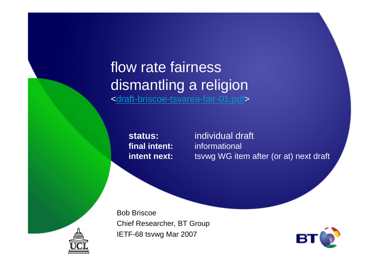### flow rate fairness dismantling a religion<<u>draft-briscoe-tsvarea-fair-01.pdf</u>>

**final intent:intent next:**

**status:** individual draft informational tsvwg WG item after (or at) next draft

Bob BriscoeChief Researcher, BT GroupIETF-68 tsvwg Mar 2007



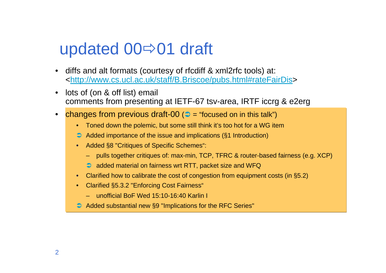## updated  $00 \Rightarrow 01$  draft

- • diffs and alt formats (courtesy of rfcdiff & xml2rfc tools) at: <http://www.cs.ucl.ac.uk/staff/B.Briscoe/pubs.html#rateFairDis>
- • lots of (on & off list) email comments from presenting at IETF-67 tsv-area, IRTF iccrg & e2erg
- •changes from previous draft-00 ( $\bigcirc$  = "focused on in this talk")
	- •Toned down the polemic, but some still think it's too hot for a WG item
	- Added importance of the issue and implications (§1 Introduction)
	- Added §8 "Critiques of Specific Schemes":
		- pulls together critiques of: max-min, TCP, TFRC & router-based fairness (e.g. XCP)
		- added material on fairness wrt RTT, packet size and WFQ
	- •Clarified how to calibrate the cost of congestion from equipment costs (in §5.2)
	- Clarified §5.3.2 "Enforcing Cost Fairness"
		- unofficial BoF Wed 15:10-16:40 Karlin I
	- Added substantial new §9 "Implications for the RFC Series"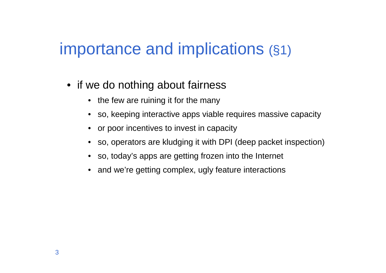## importance and implications (§1)

- if we do nothing about fairness
	- the few are ruining it for the many
	- so, keeping interactive apps viable requires massive capacity
	- or poor incentives to invest in capacity
	- so, operators are kludging it with DPI (deep packet inspection)
	- so, today's apps are getting frozen into the Internet
	- and we're getting complex, ugly feature interactions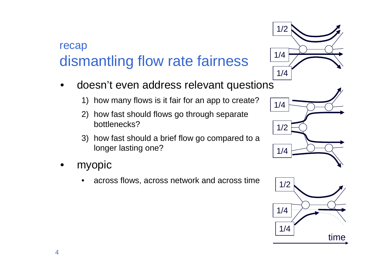#### recapdismantling flow rate fairness

- • doesn't even address relevant questions
	- 1) how many flows is it fair for an app to create?
	- 2) how fast should flows go through separate bottlenecks?
	- 3) how fast should a brief flow go compared to a longer lasting one?
- • myopic
	- •across flows, across network and across time





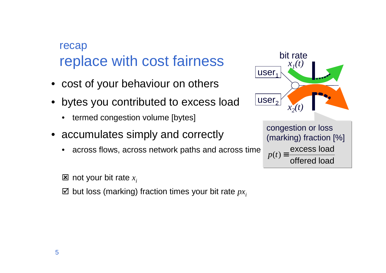#### recapreplace with cost fairness

- cost of your behaviour on others
- • bytes you contributed to excess load
	- •termed congestion volume [bytes]
- accumulates simply and correctly
	- •across flows, across network paths and across time

 $\Xi$  not your bit rate  $x_i$ 

 $\boldsymbol{\boxtimes}$  but loss (marking) fraction times your bit rate  $p x_{\hat{i}}$ 

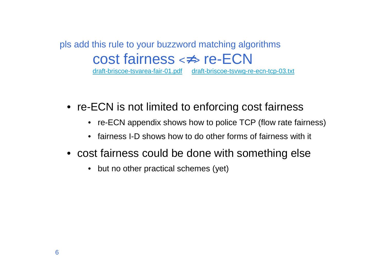#### pls add this rule to your buzzword matching algorithmscost fairness <≠> re-ECNdraft-briscoe-tsvarea-fair-01.pdf draft-briscoe-tsvwg-re-ecn-tcp-03.txt

- re-ECN is not limited to enforcing cost fairness
	- re-ECN appendix shows how to police TCP (flow rate fairness)
	- fairness I-D shows how to do other forms of fairness with it
- cost fairness could be done with something else
	- but no other practical schemes (yet)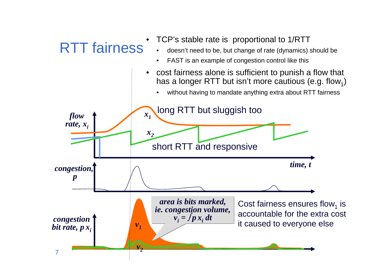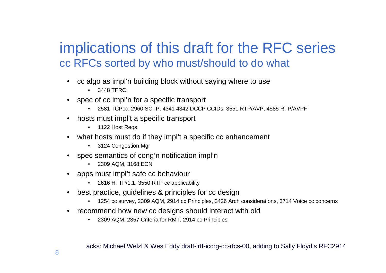### implications of this draft for the RFC seriescc RFCs sorted by who must/should to do what

- cc algo as impl'n building block without saying where to use
	- 3448 TFRC
- spec of cc impl'n for a specific transport
	- •2581 TCPcc, 2960 SCTP, 4341 4342 DCCP CCIDs, 3551 RTP/AVP, 4585 RTP/AVPF
- • hosts must impl't a specific transport
	- 1122 Host Reqs
- what hosts must do if they impl't a specific cc enhancement
	- 3124 Congestion Mgr
- •spec semantics of cong'n notification impl'n
	- 2309 AQM, 3168 ECN
- • apps must impl't safe cc behaviour
	- •2616 HTTP/1.1, 3550 RTP cc applicability
- • best practice, guidelines & principles for cc design
	- 1254 cc survey, 2309 AQM, 2914 cc Principles, 3426 Arch considerations, 3714 Voice cc concerns•
- • recommend how new cc designs should interact with old
	- •2309 AQM, 2357 Criteria for RMT, 2914 cc Principles

acks: Michael Welzl & Wes Eddy draft-irtf-iccrg-cc-rfcs-00, adding to Sally Floyd's RFC2914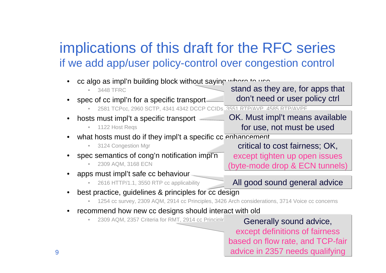### implications of this draft for the RFC seriesif we add app/user policy-control over congestion control

| cc algo as impl'n building block without saying where to use                                   |                                                                      |  |
|------------------------------------------------------------------------------------------------|----------------------------------------------------------------------|--|
| 3448 TFRC                                                                                      | stand as they are, for apps that                                     |  |
| spec of cc impl'n for a specific transport                                                     | don't need or user policy ctrl                                       |  |
| 2581 TCPcc, 2960 SCTP, 4341 4342 DCCP CCIDs 3551 RTP/AVP 4585 RTP/AVPF                         |                                                                      |  |
| hosts must impl't a specific transport                                                         | OK. Must impl't means available                                      |  |
| 1122 Host Regs<br>$\bullet$                                                                    | for use, not must be used                                            |  |
| what hosts must do if they impl't a specific co enhancement                                    |                                                                      |  |
| 3124 Congestion Mgr<br>$\bullet$                                                               | critical to cost fairness; OK,                                       |  |
| spec semantics of cong'n notification impl'n                                                   | except tighten up open issues                                        |  |
| 2309 AQM, 3168 ECN                                                                             | byte-mode drop & ECN tunnels)                                        |  |
| apps must impl't safe cc behaviour                                                             |                                                                      |  |
| 2616 HTTP/1.1, 3550 RTP cc applicability                                                       | All good sound general advice                                        |  |
|                                                                                                |                                                                      |  |
| best practice, guidelines & principles for cc design                                           |                                                                      |  |
| 1254 cc survey, 2309 AQM, 2914 cc Principles, 3426 Arch considerations, 3714 Voice cc concerns |                                                                      |  |
| recommend how new cc designs should interact with old                                          |                                                                      |  |
| 2309 AQM, 2357 Criteria for RMT, 2914 cc Principle<br>$\bullet$                                |                                                                      |  |
|                                                                                                | Generally sound advice,                                              |  |
|                                                                                                | except definitions of fairness                                       |  |
|                                                                                                | based on flow rate, and TCP-fair<br>odules in OOE7 needs austifulies |  |

advice in 2357 needs qualifying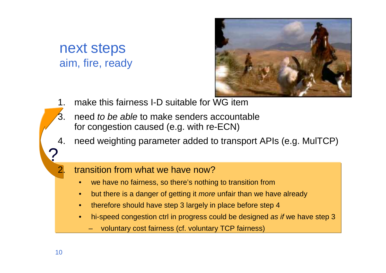#### next stepsaim, fire, ready



- 1. make this fairness I-D suitable for WG item
- 3. need *to be able* to make senders accountable for congestion caused (e.g. with re-ECN)
- 4. need weighting parameter added to transport APIs (e.g. MulTCP)

#### 2 transition from what we have now?

- •we have no fairness, so there's nothing to transition from
- but there is a danger of getting it *more* unfair than we have already •
- •therefore should have step 3 largely in place before step 4
- • hi-speed congestion ctrl in progress could be designed as if we have step 3
	- –voluntary cost fairness (cf. voluntary TCP fairness)

?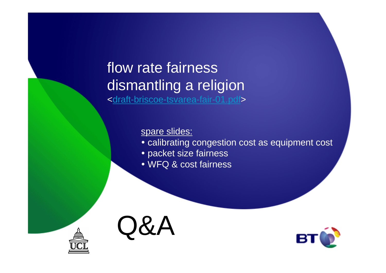### flow rate fairness dismantling a religion<draft-briscoe-tsvarea-fair-01.pdf>

#### spare slides:

- calibrating congestion cost as equipment cost
- packet size fairness
- WFQ & cost fairness





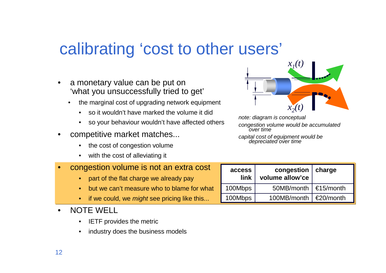### calibrating 'cost to other users'

- • a monetary value can be put on 'what you unsuccessfully tried to get'
	- • the marginal cost of upgrading network equipment
		- so it wouldn't have marked the volume it did
		- $\bullet$ so your behaviour wouldn't have affected others
- • competitive market matches...
	- the cost of congestion volume
	- with the cost of alleviating it
- • congestion volume is not an extra cost
	- part of the flat charge we already pay
	- •but we can't measure who to blame for what
	- •if we could, we *might* see pricing like this...
- • NOTE WELL
	- IETF provides the metric $\bullet$
	- $\bullet$ industry does the business models



note: diagram is conceptual

congestion volume would be accumulated<br>over time

capital cost of equipment would be depreciated over time

| access<br>link | congestion $ $ charge<br>volume allow'ce |                 |
|----------------|------------------------------------------|-----------------|
| 100Mbps        | 50MB/month $\leq 15$ /month              |                 |
| 100Mbps        | 100MB/month                              | $\leq$ 20/month |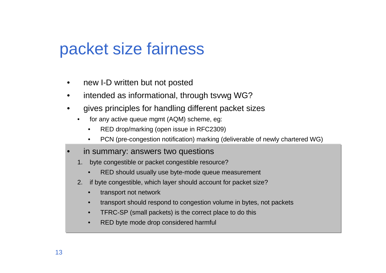### packet size fairness

- $\bullet$ new I-D written but not posted
- $\bullet$ intended as informational, through tsvwg WG?
- • gives principles for handling different packet sizes
	- • for any active queue mgmt (AQM) scheme, eg:
		- •RED drop/marking (open issue in RFC2309)
		- •PCN (pre-congestion notification) marking (deliverable of newly chartered WG)
- • in summary: answers two questions
	- 1. byte congestible or packet congestible resource?
		- •RED should usually use byte-mode queue measurement
	- 2. if byte congestible, which layer should account for packet size?
		- $\bullet$ transport not network
		- •transport should respond to congestion volume in bytes, not packets
		- •TFRC-SP (small packets) is the correct place to do this
		- •RED byte mode drop considered harmful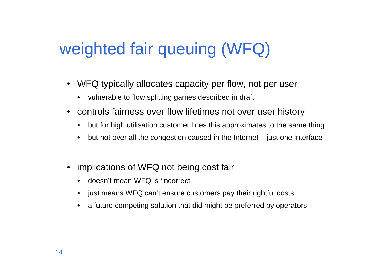# weighted fair queuing (WFQ)

- WFQ typically allocates capacity per flow, not per user
	- vulnerable to flow splitting games described in draft
- controls fairness over flow lifetimes not over user history
	- $\bullet$ but for high utilisation customer lines this approximates to the same thing
	- •but not over all the congestion caused in the Internet – just one interface
- • implications of WFQ not being cost fair
	- •doesn't mean WFQ is 'incorrect'
	- just means WFQ can't ensure customers pay their rightful costs
	- •a future competing solution that did might be preferred by operators